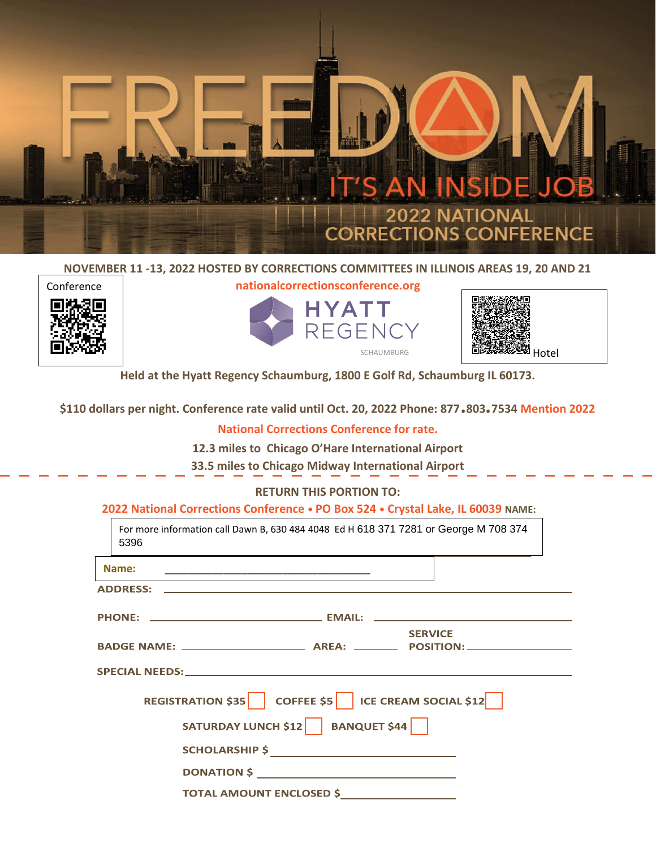

#### **NOVEMBER 11 -13, 2022 HOSTED BY CORRECTIONS COMMITTEES IN ILLINOIS AREAS 19, 20 AND 21**



**nationalcorrectionsconference.org**





**Held at the Hyatt Regency Schaumburg, 1800 E Golf Rd, Schaumburg IL 60173.** 

**\$110 dollars per night. Conference rate valid until Oct. 20, 2022 Phone: 877.803.7534 Mention 2022** 

### **National Corrections Conference for rate.**

**12.3 miles to Chicago O'Hare International Airport** 

**33.5 miles to Chicago Midway International Airport**

#### **RETURN THIS PORTION TO:**

**2022 National Corrections Conference • PO Box 524 • Crystal Lake, IL 60039 NAME:**

| For more information call Dawn B, 630 484 4048 Ed H 618 371 7281 or George M 708 374<br>5396 |
|----------------------------------------------------------------------------------------------|
| Name:<br><u> 1989 - Johann John Stone, mars et al. (1989)</u>                                |
| <b>ADDRESS:</b>                                                                              |
|                                                                                              |
| <b>SERVICE</b>                                                                               |
|                                                                                              |
| REGISTRATION \$35   COFFEE \$5   ICE CREAM SOCIAL \$12                                       |
| SATURDAY LUNCH \$12 BANQUET \$44                                                             |
|                                                                                              |
|                                                                                              |
| <b>TOTAL AMOUNT ENCLOSED \$</b>                                                              |